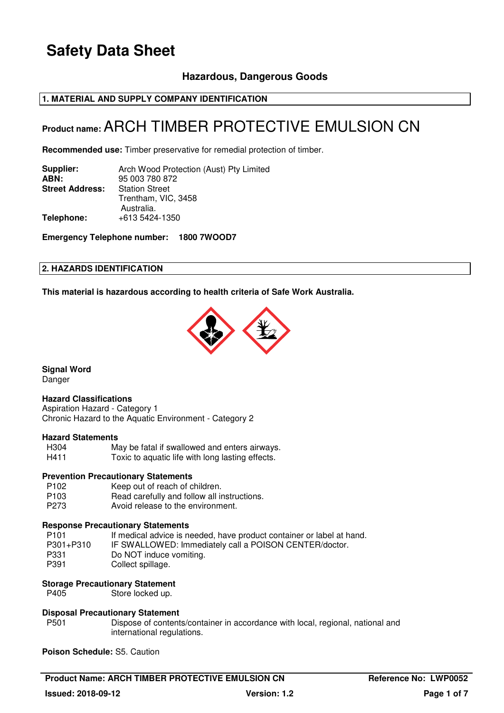## **Hazardous, Dangerous Goods**

### **1. MATERIAL AND SUPPLY COMPANY IDENTIFICATION**

# **Product name:** ARCH TIMBER PROTECTIVE EMULSION CN

**Recommended use:** Timber preservative for remedial protection of timber.

| Supplier:              | Arch Wood Protection (Aust) Pty Limited |
|------------------------|-----------------------------------------|
| ABN:                   | 95 003 780 872                          |
| <b>Street Address:</b> | <b>Station Street</b>                   |
|                        | Trentham, VIC, 3458                     |
|                        | Australia.                              |
| Telephone:             | +613 5424-1350                          |
|                        |                                         |

**Emergency Telephone number: 1800 7WOOD7**

### **2. HAZARDS IDENTIFICATION**

**This material is hazardous according to health criteria of Safe Work Australia.**



**Signal Word** 

Danger

### **Hazard Classifications**

Aspiration Hazard - Category 1 Chronic Hazard to the Aquatic Environment - Category 2

# **Hazard Statements**

May be fatal if swallowed and enters airways. H411 Toxic to aquatic life with long lasting effects.

#### **Prevention Precautionary Statements**

P102 Keep out of reach of children.<br>P103 Read carefully and follow all in Read carefully and follow all instructions. P273 Avoid release to the environment.

### **Response Precautionary Statements**

| P <sub>101</sub> | If medical advice is needed, have product container or label at hand. |
|------------------|-----------------------------------------------------------------------|
| P301+P310        | IF SWALLOWED: Immediately call a POISON CENTER/doctor.                |
| P331             | Do NOT induce vomiting.                                               |
| P391             | Collect spillage.                                                     |

### **Storage Precautionary Statement**

P405 Store locked up.

### **Disposal Precautionary Statement**

P501 Dispose of contents/container in accordance with local, regional, national and international regulations.

**Poison Schedule:** S5. Caution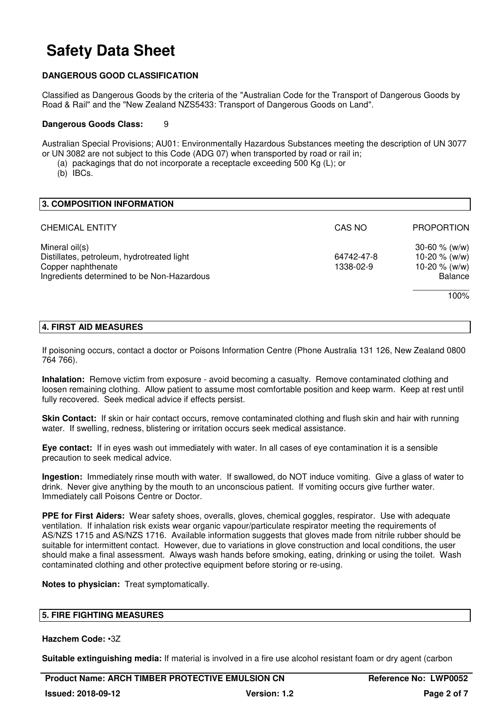### **DANGEROUS GOOD CLASSIFICATION**

Classified as Dangerous Goods by the criteria of the "Australian Code for the Transport of Dangerous Goods by Road & Rail" and the "New Zealand NZS5433: Transport of Dangerous Goods on Land".

#### **Dangerous Goods Class:** 9

Australian Special Provisions; AU01: Environmentally Hazardous Substances meeting the description of UN 3077 or UN 3082 are not subject to this Code (ADG 07) when transported by road or rail in;

(a) packagings that do not incorporate a receptacle exceeding 500 Kg (L); or

(b) IBCs.

| 3. COMPOSITION INFORMATION                                                                                                       |                         |                                                                          |
|----------------------------------------------------------------------------------------------------------------------------------|-------------------------|--------------------------------------------------------------------------|
| <b>CHEMICAL ENTITY</b>                                                                                                           | CAS NO                  | <b>PROPORTION</b>                                                        |
| Mineral oil(s)<br>Distillates, petroleum, hydrotreated light<br>Copper naphthenate<br>Ingredients determined to be Non-Hazardous | 64742-47-8<br>1338-02-9 | 30-60 $% (w/w)$<br>10-20 $% (w/w)$<br>10-20 $% (w/w)$<br>Balance<br>100% |

### **4. FIRST AID MEASURES**

If poisoning occurs, contact a doctor or Poisons Information Centre (Phone Australia 131 126, New Zealand 0800 764 766).

**Inhalation:** Remove victim from exposure - avoid becoming a casualty. Remove contaminated clothing and loosen remaining clothing. Allow patient to assume most comfortable position and keep warm. Keep at rest until fully recovered. Seek medical advice if effects persist.

**Skin Contact:** If skin or hair contact occurs, remove contaminated clothing and flush skin and hair with running water. If swelling, redness, blistering or irritation occurs seek medical assistance.

**Eye contact:** If in eyes wash out immediately with water. In all cases of eye contamination it is a sensible precaution to seek medical advice.

**Ingestion:** Immediately rinse mouth with water. If swallowed, do NOT induce vomiting. Give a glass of water to drink. Never give anything by the mouth to an unconscious patient. If vomiting occurs give further water. Immediately call Poisons Centre or Doctor.

**PPE for First Aiders:** Wear safety shoes, overalls, gloves, chemical goggles, respirator. Use with adequate ventilation. If inhalation risk exists wear organic vapour/particulate respirator meeting the requirements of AS/NZS 1715 and AS/NZS 1716. Available information suggests that gloves made from nitrile rubber should be suitable for intermittent contact. However, due to variations in glove construction and local conditions, the user should make a final assessment. Always wash hands before smoking, eating, drinking or using the toilet. Wash contaminated clothing and other protective equipment before storing or re-using.

**Notes to physician:** Treat symptomatically.

### **5. FIRE FIGHTING MEASURES**

### **Hazchem Code:** •3Z

**Suitable extinguishing media:** If material is involved in a fire use alcohol resistant foam or dry agent (carbon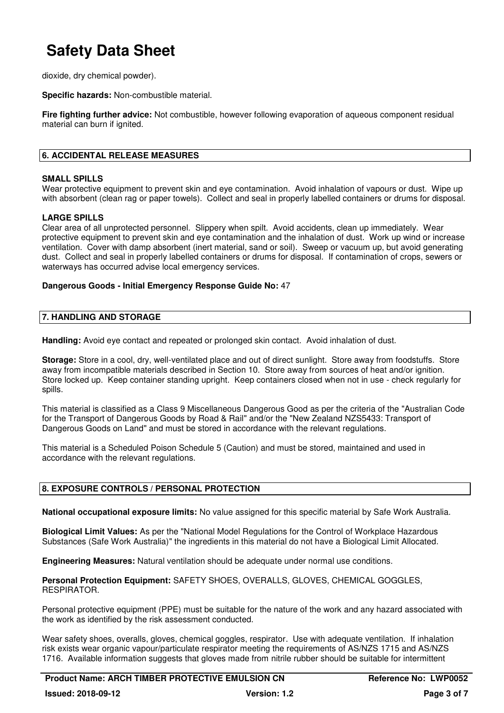dioxide, dry chemical powder).

**Specific hazards:** Non-combustible material.

**Fire fighting further advice:** Not combustible, however following evaporation of aqueous component residual material can burn if ignited.

### **6. ACCIDENTAL RELEASE MEASURES**

### **SMALL SPILLS**

Wear protective equipment to prevent skin and eye contamination. Avoid inhalation of vapours or dust. Wipe up with absorbent (clean rag or paper towels). Collect and seal in properly labelled containers or drums for disposal.

### **LARGE SPILLS**

Clear area of all unprotected personnel. Slippery when spilt. Avoid accidents, clean up immediately. Wear protective equipment to prevent skin and eye contamination and the inhalation of dust. Work up wind or increase ventilation. Cover with damp absorbent (inert material, sand or soil). Sweep or vacuum up, but avoid generating dust. Collect and seal in properly labelled containers or drums for disposal. If contamination of crops, sewers or waterways has occurred advise local emergency services.

### **Dangerous Goods - Initial Emergency Response Guide No:** 47

### **7. HANDLING AND STORAGE**

**Handling:** Avoid eye contact and repeated or prolonged skin contact. Avoid inhalation of dust.

**Storage:** Store in a cool, dry, well-ventilated place and out of direct sunlight. Store away from foodstuffs. Store away from incompatible materials described in Section 10. Store away from sources of heat and/or ignition. Store locked up. Keep container standing upright. Keep containers closed when not in use - check regularly for spills.

This material is classified as a Class 9 Miscellaneous Dangerous Good as per the criteria of the "Australian Code for the Transport of Dangerous Goods by Road & Rail" and/or the "New Zealand NZS5433: Transport of Dangerous Goods on Land" and must be stored in accordance with the relevant regulations.

This material is a Scheduled Poison Schedule 5 (Caution) and must be stored, maintained and used in accordance with the relevant regulations.

### **8. EXPOSURE CONTROLS / PERSONAL PROTECTION**

**National occupational exposure limits:** No value assigned for this specific material by Safe Work Australia.

**Biological Limit Values:** As per the "National Model Regulations for the Control of Workplace Hazardous Substances (Safe Work Australia)" the ingredients in this material do not have a Biological Limit Allocated.

**Engineering Measures:** Natural ventilation should be adequate under normal use conditions.

**Personal Protection Equipment:** SAFETY SHOES, OVERALLS, GLOVES, CHEMICAL GOGGLES, RESPIRATOR.

Personal protective equipment (PPE) must be suitable for the nature of the work and any hazard associated with the work as identified by the risk assessment conducted.

Wear safety shoes, overalls, gloves, chemical goggles, respirator. Use with adequate ventilation. If inhalation risk exists wear organic vapour/particulate respirator meeting the requirements of AS/NZS 1715 and AS/NZS 1716. Available information suggests that gloves made from nitrile rubber should be suitable for intermittent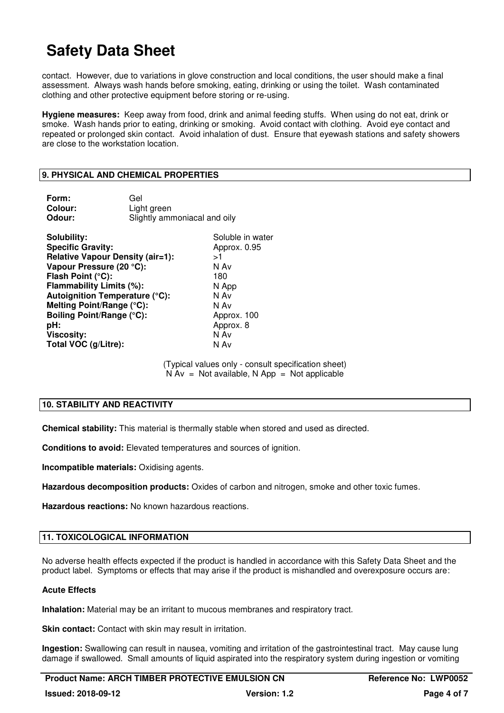contact. However, due to variations in glove construction and local conditions, the user should make a final assessment. Always wash hands before smoking, eating, drinking or using the toilet. Wash contaminated clothing and other protective equipment before storing or re-using.

**Hygiene measures:** Keep away from food, drink and animal feeding stuffs. When using do not eat, drink or smoke. Wash hands prior to eating, drinking or smoking. Avoid contact with clothing. Avoid eye contact and repeated or prolonged skin contact. Avoid inhalation of dust. Ensure that eyewash stations and safety showers are close to the workstation location.

### **9. PHYSICAL AND CHEMICAL PROPERTIES**

| Form:                                                                                                                                                                                                                                                                                                                         | Gel                          |                                                                                                                            |
|-------------------------------------------------------------------------------------------------------------------------------------------------------------------------------------------------------------------------------------------------------------------------------------------------------------------------------|------------------------------|----------------------------------------------------------------------------------------------------------------------------|
| Colour:                                                                                                                                                                                                                                                                                                                       | Light green                  |                                                                                                                            |
| Odour:                                                                                                                                                                                                                                                                                                                        | Slightly ammoniacal and oily |                                                                                                                            |
| Solubility:<br><b>Specific Gravity:</b><br><b>Relative Vapour Density (air=1):</b><br>Vapour Pressure (20 °C):<br>Flash Point (°C):<br>Flammability Limits (%):<br><b>Autoignition Temperature (°C):</b><br>Melting Point/Range (°C):<br><b>Boiling Point/Range (°C):</b><br>pH:<br><b>Viscosity:</b><br>Total VOC (g/Litre): |                              | Soluble in water<br>Approx. 0.95<br>>1<br>N Av<br>180<br>N App<br>N Av<br>N Av<br>Approx. 100<br>Approx. 8<br>N Av<br>N Av |

(Typical values only - consult specification sheet)  $N Av = Not available, N App = Not applicable$ 

### **10. STABILITY AND REACTIVITY**

**Chemical stability:** This material is thermally stable when stored and used as directed.

**Conditions to avoid:** Elevated temperatures and sources of ignition.

**Incompatible materials:** Oxidising agents.

**Hazardous decomposition products:** Oxides of carbon and nitrogen, smoke and other toxic fumes.

**Hazardous reactions:** No known hazardous reactions.

### **11. TOXICOLOGICAL INFORMATION**

No adverse health effects expected if the product is handled in accordance with this Safety Data Sheet and the product label. Symptoms or effects that may arise if the product is mishandled and overexposure occurs are:

### **Acute Effects**

**Inhalation:** Material may be an irritant to mucous membranes and respiratory tract.

**Skin contact:** Contact with skin may result in irritation.

**Ingestion:** Swallowing can result in nausea, vomiting and irritation of the gastrointestinal tract. May cause lung damage if swallowed. Small amounts of liquid aspirated into the respiratory system during ingestion or vomiting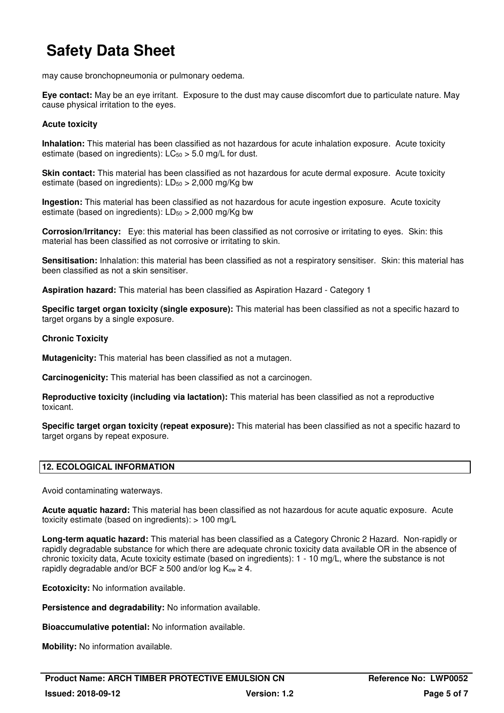may cause bronchopneumonia or pulmonary oedema.

**Eye contact:** May be an eye irritant. Exposure to the dust may cause discomfort due to particulate nature. May cause physical irritation to the eyes.

### **Acute toxicity**

**Inhalation:** This material has been classified as not hazardous for acute inhalation exposure. Acute toxicity estimate (based on ingredients):  $LC_{50} > 5.0$  mg/L for dust.

**Skin contact:** This material has been classified as not hazardous for acute dermal exposure. Acute toxicity estimate (based on ingredients):  $LD_{50} > 2,000$  mg/Kg bw

**Ingestion:** This material has been classified as not hazardous for acute ingestion exposure. Acute toxicity estimate (based on ingredients):  $LD_{50} > 2,000$  mg/Kg bw

**Corrosion/Irritancy:** Eye: this material has been classified as not corrosive or irritating to eyes. Skin: this material has been classified as not corrosive or irritating to skin.

**Sensitisation:** Inhalation: this material has been classified as not a respiratory sensitiser. Skin: this material has been classified as not a skin sensitiser.

**Aspiration hazard:** This material has been classified as Aspiration Hazard - Category 1

**Specific target organ toxicity (single exposure):** This material has been classified as not a specific hazard to target organs by a single exposure.

### **Chronic Toxicity**

**Mutagenicity:** This material has been classified as not a mutagen.

**Carcinogenicity:** This material has been classified as not a carcinogen.

**Reproductive toxicity (including via lactation):** This material has been classified as not a reproductive toxicant.

**Specific target organ toxicity (repeat exposure):** This material has been classified as not a specific hazard to target organs by repeat exposure.

### **12. ECOLOGICAL INFORMATION**

Avoid contaminating waterways.

**Acute aquatic hazard:** This material has been classified as not hazardous for acute aquatic exposure. Acute toxicity estimate (based on ingredients): > 100 mg/L

**Long-term aquatic hazard:** This material has been classified as a Category Chronic 2 Hazard. Non-rapidly or rapidly degradable substance for which there are adequate chronic toxicity data available OR in the absence of chronic toxicity data, Acute toxicity estimate (based on ingredients): 1 - 10 mg/L, where the substance is not rapidly degradable and/or BCF  $\geq$  500 and/or log K<sub>ow</sub>  $\geq$  4.

**Ecotoxicity:** No information available.

**Persistence and degradability:** No information available.

**Bioaccumulative potential:** No information available.

**Mobility:** No information available.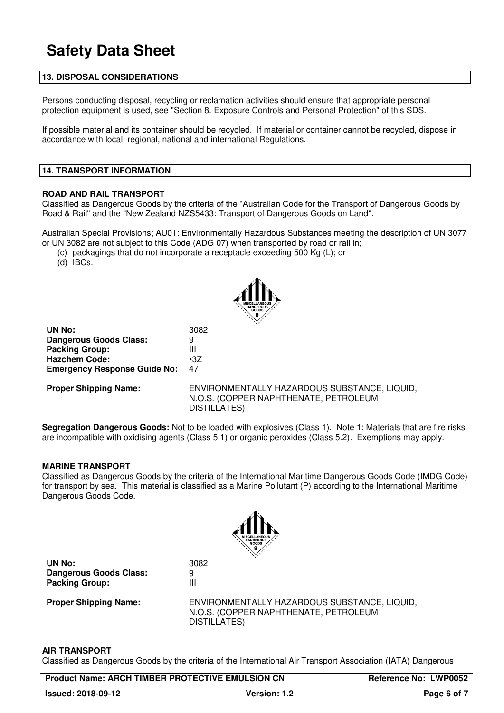### **13. DISPOSAL CONSIDERATIONS**

Persons conducting disposal, recycling or reclamation activities should ensure that appropriate personal protection equipment is used, see "Section 8. Exposure Controls and Personal Protection" of this SDS.

If possible material and its container should be recycled. If material or container cannot be recycled, dispose in accordance with local, regional, national and international Regulations.

#### **14. TRANSPORT INFORMATION**

#### **ROAD AND RAIL TRANSPORT**

Classified as Dangerous Goods by the criteria of the "Australian Code for the Transport of Dangerous Goods by Road & Rail" and the "New Zealand NZS5433: Transport of Dangerous Goods on Land".

Australian Special Provisions; AU01: Environmentally Hazardous Substances meeting the description of UN 3077 or UN 3082 are not subject to this Code (ADG 07) when transported by road or rail in;

(c) packagings that do not incorporate a receptacle exceeding 500 Kg (L); or

(d) IBCs.



**UN No:** 3082 **Dangerous Goods Class:** 9<br>**Packing Group:** 11 **Packing Group: Hazchem Code:** •3Z **Emergency Response Guide No:** 47

**Proper Shipping Name:** ENVIRONMENTALLY HAZARDOUS SUBSTANCE, LIQUID, N.O.S. (COPPER NAPHTHENATE, PETROLEUM DISTILLATES)

**Segregation Dangerous Goods:** Not to be loaded with explosives (Class 1). Note 1: Materials that are fire risks are incompatible with oxidising agents (Class 5.1) or organic peroxides (Class 5.2). Exemptions may apply.

#### **MARINE TRANSPORT**

Classified as Dangerous Goods by the criteria of the International Maritime Dangerous Goods Code (IMDG Code) for transport by sea. This material is classified as a Marine Pollutant (P) according to the International Maritime Dangerous Goods Code.



**UN No:** 3082 **Dangerous Goods Class:** 9 **Packing Group:** III

**Proper Shipping Name:** ENVIRONMENTALLY HAZARDOUS SUBSTANCE, LIQUID, N.O.S. (COPPER NAPHTHENATE, PETROLEUM DISTILLATES)

#### **AIR TRANSPORT**

Classified as Dangerous Goods by the criteria of the International Air Transport Association (IATA) Dangerous